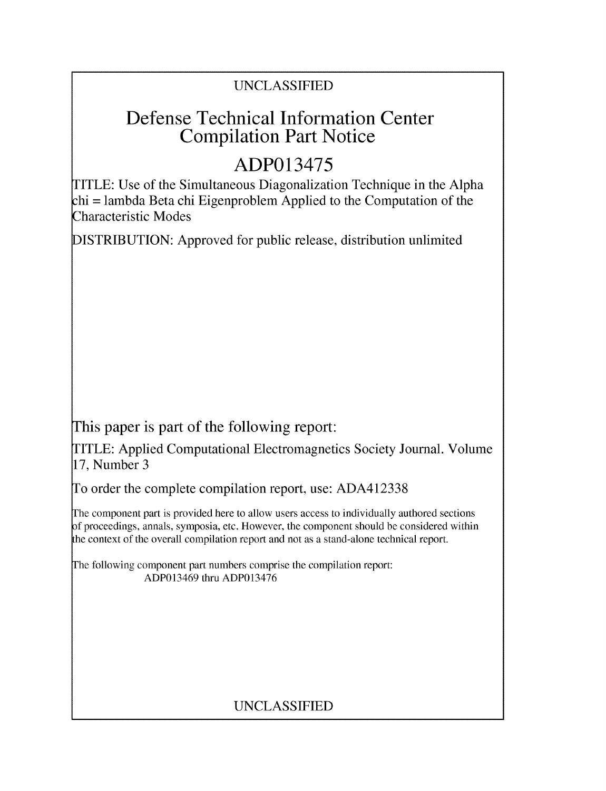### UNCLASSIFIED

# Defense Technical Information Center Compilation Part Notice

# **ADP013475**

TITLE: Use of the Simultaneous Diagonalization Technique in the Alpha chi = lambda Beta chi Eigenproblem Applied to the Computation of the Characteristic Modes

DISTRIBUTION: Approved for public release, distribution unlimited

This paper is part of the following report:

TITLE: Applied Computational Electromagnetics Society Journal. Volume 17, Number 3

To order the complete compilation report, use: ADA412338

The component part is provided here to allow users access to individually authored sections f proceedings, annals, symposia, etc. However, the component should be considered within the context of the overall compilation report and not as a stand-alone technical report.

The following component part numbers comprise the compilation report: ADP013469 thru ADP013476

### UNCLASSIFIED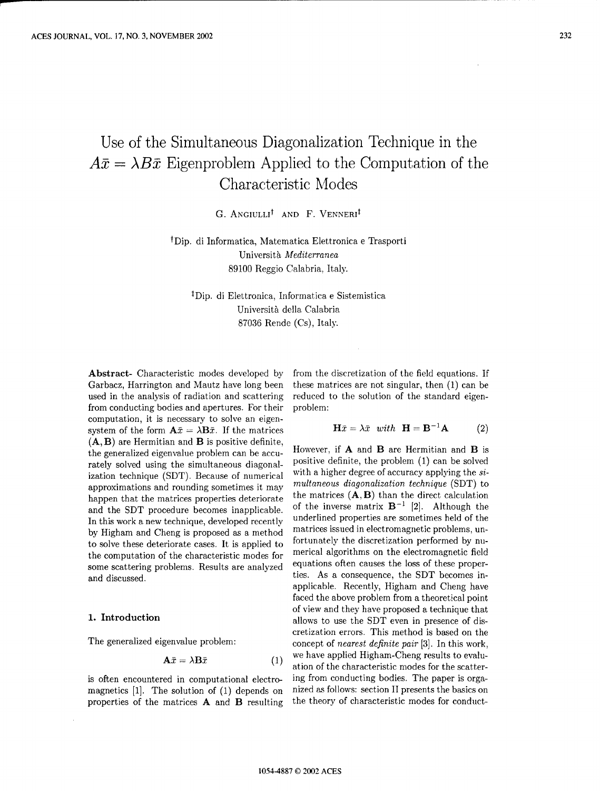## Use of the Simultaneous Diagonalization Technique in the  $A\bar{x} = \lambda B\bar{x}$  Eigenproblem Applied to the Computation of the Characteristic Modes

G. ANGIULLI<sup>†</sup> AND F. VENNERI<sup>‡</sup>

fDip. di Informatica, Matematica Elettronica e Trasporti Universith Mediterranea 89100 Reggio Calabria, Italy.

<sup>‡</sup>Dip. di Elettronica, Informatica e Sistemistica Universith della Calabria 87036 Rende (Cs), Italy.

Abstract- Characteristic modes developed by from the discretization of the field equations. If Garbacz, Harrington and Mautz have long been these matrices are not singular, then (1) can be used in the analysis of radiation and scattering reduced to the solution of the standard eigenfrom conducting bodies and apertures. For their problem: computation, it is necessary to solve an eigensystem of the form  $\mathbf{A}\bar{x} = \lambda \mathbf{B}\bar{x}$ . If the matrices  $\mathbf{H}\bar{x} = \lambda \bar{x}$  with  $\mathbf{H} = \mathbf{B}^{-1}\mathbf{A}$  (2)  $(A, B)$  are Hermitian and  $B$  is positive definite, the generalized eigenvalue problem can be accu-<br>the generalized eigenvalue problem can be accu-<br>positive definite, the problem  $(1)$  can be solved<br>positive definite, the problem  $(1)$  can be solved rately solved using the simultaneous diagonal-<br>ization technique (SDT). Because of numerical with a higher degree of accuracy applying the siization technique (SDT). Because of numerical approximations and rounding sometimes it may *multaneons diagonalizatior technique* **(SDT)** to happen that the matrices properties deteriorate the matrices  $(A, B)$  than the direct calculation and the SDT procedure becomes inapplicable. of the inverse matrix  $B^{-1}$  [2]. Although the In this work a new technique, developed recently underlined properties are sometimes held of the by Higham and Cheng is proposed as a method matrices issued in electromagnetic problems, un-<br>to solve these deteriorate cases. It is applied to fortunately the discretization performed by nuto solve these deteriorate cases. It is applied to the computation of the characteristic modes for merical algorithms on the electromagnetic field some scattering problems. Results are analyzed equations often causes the loss of these properand discussed. ties. As a consequence, the SDT becomes in-

$$
\mathbf{A}\bar{x} = \lambda \mathbf{B}\bar{x} \tag{1}
$$

magnetics [1]. The solution of (1) depends on nized as follows: section II presents the basics on properties of the matrices A and B resulting the theory of characteristic modes for conduct-

$$
\mathbf{H}\bar{x} = \lambda \bar{x} \quad with \quad \mathbf{H} = \mathbf{B}^{-1}\mathbf{A} \tag{2}
$$

applicable. Recently, Higham and Cheng have faced the above problem from a theoretical point of view and they have proposed a technique that **1. Introduction** allows to use the SDT even in presence of discretization errors. This method is based on the The generalized eigenvalue problem: concept of nearest definite pair [3]. In this work, we have applied Higham-Cheng results to evaluation of the characteristic modes for the scatteris often encountered in computational electro- ing from conducting bodies. The paper is orga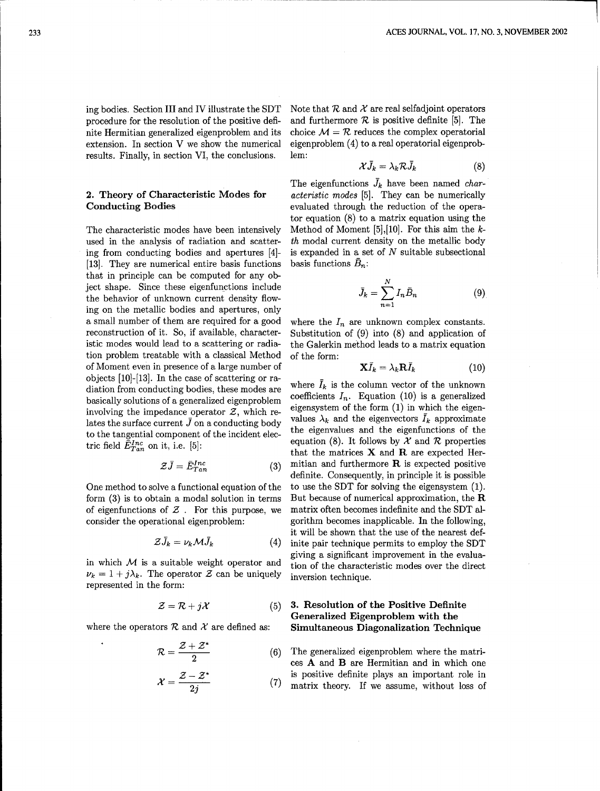extension. In section V we show the numerical eigenproblem (4) to a real operatorial eigenprobresults. Finally, in section VI, the conclusions. lem:

used in the analysis of radiation and scatter- th modal current density on the metallic body ing from conducting bodies and apertures  $[4]$ - is expanded in a set of  $N$  suitable subsectional [13]. They are numerical entire basis functions basis functions  $\bar{B}_n$ : that in principle can be computed for any object shape. Since these eigenfunctions include  $\frac{1}{2}$  the behavior of unknown current density flowing on the metallic bodies and apertures, only n=1 a small number of them are required for a good where the  $I_n$  are unknown complex constants. reconstruction of it. So, if available, character- Substitution of (9) into (8) and application of istic modes would lead to a scattering or radia- the Galerkin method leads to a matrix equation tion problem treatable with a classical Method of the form: of Moment even in presence of a large number of objects [10]-[13]. In the case of scattering or radiation from conducting bodies, these modes are where  $\bar{I}_k$  is the column vector of the unknown<br>bosically solutions of a generalized eigenvecklom coefficients  $I_n$ . Equation (10) is a generalized basically solutions of a generalized eigenproblem involving the impedance operator  $Z$ , which re-<br>involving the impedance operator  $Z$ , which re-<br>lates the surface current  $\overline{I}$  on a conduction body. Values  $\lambda_k$  and the eigenvectors  $\overline{I}_k$  approximate lates the surface current  $\bar{J}$  on a conducting body values  $\lambda_k$  and the eigenvectors  $I_k$  approximate<br>to the tangential component of the insident close.

$$
\mathcal{Z}\bar{J} = \bar{E}_{Tan}^{Inc} \tag{3}
$$

form  $(3)$  is to obtain a modal solution in terms But because of numerical approximation, the R of eigenfunctions of  $Z$ . For this purpose, we matrix often becomes indefinite and the SDT alconsider the operational eigenproblem: gorithm becomes inapplicable. In the following,

$$
\mathcal{Z}\bar{J}_k = \nu_k \mathcal{M}\bar{J}_k \tag{4}
$$

 $\nu_k = 1 + j\lambda_k$ . The operator Z can be uniquely inversion technique. represented in the form:

$$
\mathcal{Z} = \mathcal{R} + j\mathcal{X} \tag{5}
$$

$$
\mathcal{R} = \frac{\mathcal{Z} + \mathcal{Z}^*}{2} \tag{6}
$$

$$
\mathcal{X} = \frac{\mathcal{Z} - \mathcal{Z}^*}{2j} \tag{7}
$$

ing bodies. Section III and IV illustrate the SDT Note that  $R$  and  $\mathcal X$  are real selfadjoint operators procedure for the resolution of the positive defi- and furthermore  $R$  is positive definite [5]. The nite Hermitian generalized eigenproblem and its choice  $\mathcal{M} = \mathcal{R}$  reduces the complex operatorial

$$
\mathcal{X}\bar{J}_k = \lambda_k \mathcal{R}\bar{J}_k \tag{8}
$$

The eigenfunctions  $\bar{J}_k$  have been named *char-*2. Theory of Characteristic Modes for *acteristic* modes [5]. They can be numerically Conducting Bodies evaluated through the reduction of the operator equation (8) to a matrix equation using the The characteristic modes have been intensively Method of Moment [5],[10]. For this aim the **k-**

$$
\bar{J}_k = \sum_{n=1}^N I_n \bar{B}_n \tag{9}
$$

$$
\mathbf{X}\bar{I}_k = \lambda_k \mathbf{R}\bar{I}_k \tag{10}
$$

to the tangential component of the incident elec-<br>tric field  $\vec{E}_{Tan}^{Inc}$  on it, i.e. [5]:<br>tric field  $\vec{E}_{Tan}^{Inc}$  on it, i.e. [5]: that the matrices  $X$  and  $R$  are expected Hermitian and furthermore  **is expected positive definite. Consequently, in principle it is possible** One method to solve a functional equation of the to use the SDT for solving the eigensystem (1). it will be shown that the use of the nearest definite pair technique permits to employ the SDT giving a significant improvement in the evaluain which  $M$  is a suitable weight operator and tion of the characteristic modes over the direct

### **3. Resolution of the Positive Definite** Generalized Eigenproblem with the where the operators  $R$  and  $\chi$  are defined as: Simultaneous Diagonalization Technique

The generalized eigenproblem where the matri-2 ces A and B are Hermitian and in which one is positive definite plays an important role in matrix theory. If we assume, without loss of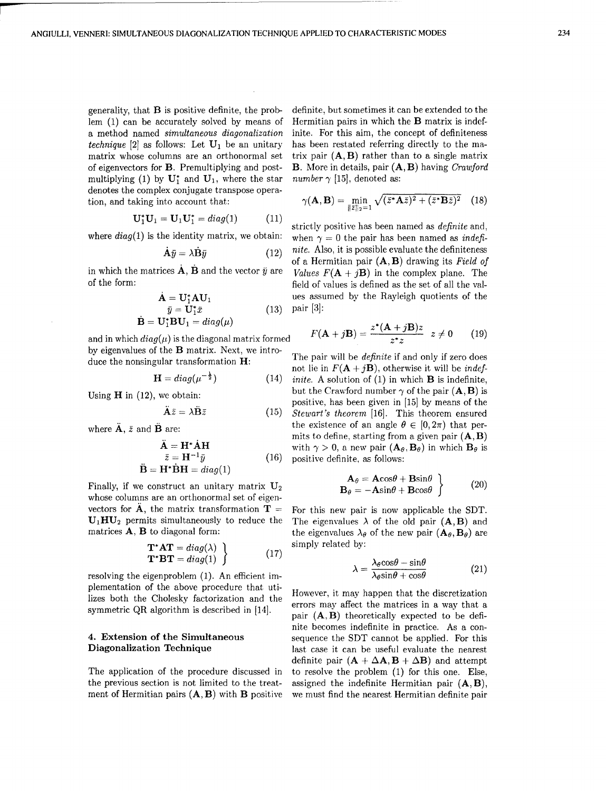generality, that **B** is positive definite, the prob- definite, but sometimes it can be extended to the lem  $(1)$  can be accurately solved by means of Hermitian pairs in which the **B** matrix is indeflem  $(1)$  can be accurately solved by means of a method named simultaneous *diagonalization* inite. For this aim, the concept of definiteness *technique* [2] as follows: Let  $U_1$  be an unitary has been restated referring directly to the ma-<br>matrix whose columns are an orthonormal set trix pair (**A, B**) rather than to a single matrix matrix whose columns are an orthonormal set of eigenvectors for **B**. Premultiplying and post- **B**. More in details, pair  $(A, B)$  having Crawford multiplying (1) by  $U_1^*$  and  $U_1$ , where the star number  $\gamma$  [15], denoted as: denotes the complex conjugate transpose operation, and taking into account that:

$$
U_1^*U_1 = U_1U_1^* = diag(1)
$$
 (11) (11)

$$
\dot{\mathbf{A}}\bar{y} = \lambda \dot{\mathbf{B}}\bar{y} \tag{12}
$$

$$
\mathbf{A} = \mathbf{U}_{1}^{*} \mathbf{A} \mathbf{U}_{1}
$$
  
\n
$$
\bar{y} = \mathbf{U}_{1}^{*} \bar{x}
$$
  
\n
$$
\dot{\mathbf{B}} = \mathbf{U}_{1}^{*} \mathbf{B} \mathbf{U}_{1} = diag(\mu)
$$
\n(13)

and in which  $diag(\mu)$  is the diagonal matrix formed by eigenvalues of the **B** matrix. Next, we intro-<br>duce the nonsingular transformation **H**:<br>not lie in  $F(A + jB)$ , otherwise it will be *indef-*

$$
\mathbf{H} = diag(\mu^{-\frac{1}{2}}) \tag{14}
$$

$$
\tilde{\mathbf{A}}\bar{z} = \lambda \tilde{\mathbf{B}}\bar{z} \tag{15}
$$

$$
\ddot{\mathbf{A}} = \mathbf{H}^* \dot{\mathbf{A}} \mathbf{H}
$$
  
\n
$$
\bar{z} = \mathbf{H}^{-1} \bar{y}
$$
 (16)  
\n
$$
\ddot{\mathbf{B}} = \mathbf{H}^* \dot{\mathbf{B}} \mathbf{H} = diag(1)
$$

Finally, if we construct an unitary matrix  $U_2$ whose columns are an orthonormal set of eigenvectors for  $\hat{A}$ , the matrix transformation  $T =$  For this new pair is now applicable the SDT.

$$
\mathbf{T}^* \mathbf{A} \mathbf{T} = diag(\lambda) \}
$$
 simply related by:  
\n
$$
\mathbf{T}^* \mathbf{B} \mathbf{T} = diag(1) \}
$$
 (17)

resolving the eigenproblem (1). An efficient implementation of the above procedure that uti-

the previous section is not limited to the treat- assigned the indefinite Hermitian pair  $(A, B)$ , ment of Hermitian pairs  $(A, B)$  with B positive we must find the nearest Hermitian definite pair

$$
\gamma(\mathbf{A}, \mathbf{B}) = \min_{\|\bar{z}\|_2 = 1} \sqrt{(\bar{z}^* \mathbf{A} \bar{z})^2 + (\bar{z}^* \mathbf{B} \bar{z})^2} \quad (18)
$$

where  $diag(1)$  is the identity matrix, we obtain: when  $\gamma = 0$  the pair has been named as indefinite. Also, it is possible evaluate the definiteness of a Hermitian pair (A, B) drawing its *Field of* in which the matrices  $\dot{\mathbf{A}}$ ,  $\dot{\mathbf{B}}$  and the vector  $\ddot{y}$  are  $Values$   $F(\mathbf{A} + j\mathbf{B})$  in the complex plane. The of the form: field of values is defined as the set of all the values assumed by the Rayleigh quotients of the **S= UIX (13)** pair **[3]:**

$$
F(\mathbf{A} + j\mathbf{B}) = \frac{z^*(\mathbf{A} + j\mathbf{B})z}{z^*z} \quad z \neq 0 \tag{19}
$$

*inite.* A solution of  $(1)$  in which **B** is indefinite, Using **H** in (12), we obtain: but the Crawford number  $\gamma$  of the pair  $(A, B)$  is positive, has been given in [15] by means of the **AZ =** *ABz* (15) *Stewart's* theorem [16]. This theorem ensured where  $\ddot{\mathbf{A}}$ ,  $\ddot{z}$  and  $\ddot{\mathbf{B}}$  are: the existence of an angle  $\theta \in [0, 2\pi)$  that permits to define, starting from a given pair  $(A, B)$ with  $\gamma > 0$ , a new pair  $(\mathbf{A}_{\theta}, \mathbf{B}_{\theta})$  in which  $\mathbf{B}_{\theta}$  is positive definite, as follows:

$$
\left.\begin{array}{l}\n\mathbf{A}_{\theta} = \mathbf{A}\cos\theta + \mathbf{B}\sin\theta \\
\mathbf{B}_{\theta} = -\mathbf{A}\sin\theta + \mathbf{B}\cos\theta\n\end{array}\right\}\n\tag{20}
$$

 $U_1HU_2$  permits simultaneously to reduce the The eigenvalues  $\lambda$  of the old pair (A, B) and matrices **A**, **B** to diagonal form: the eigenvalues  $\lambda_{\theta}$  of the new pair  $(A_{\theta}, B_{\theta})$  are simply related by:

$$
=\frac{\lambda_{\theta}\cos\theta-\sin\theta}{\lambda_{\theta}\sin\theta+\cos\theta}
$$
 (21)

Fraction of the discretization and the However, it may happen that the discretization<br>izes both the Cholesky factorization and the errors may affect the matrices in a way that a<br>symmetric QR algorithm is described in [14] nite becomes indefinite in practice. As a con-4. Extension of the Simultaneous sequence the SDT cannot be applied. For this Diagonalization Technique last case it can be useful evaluate the nearest definite pair  $(A + \Delta A, B + \Delta B)$  and attempt The application of the procedure discussed in to resolve the problem (1) for this one. Else,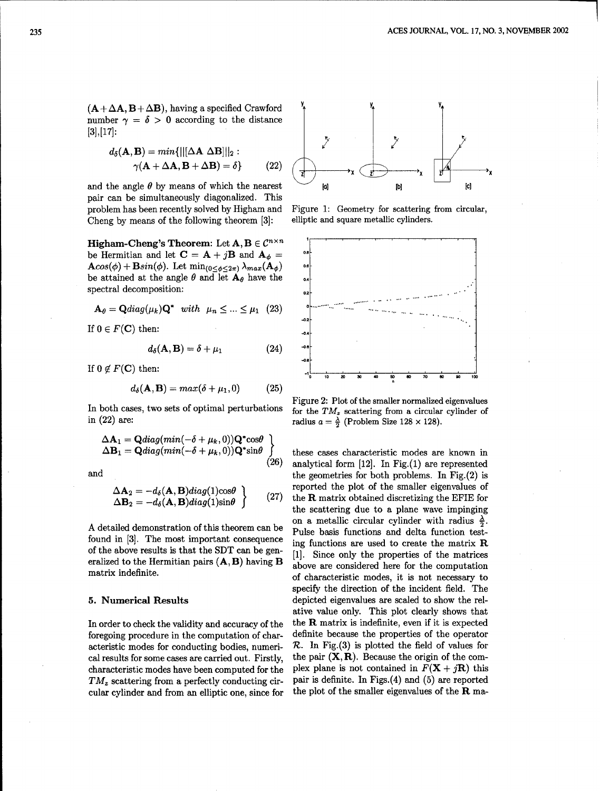$(A + \Delta A, B + \Delta B)$ , having a specified Crawford number  $\gamma = \delta > 0$  according to the distance **13],[17]:** *d6(A,* 1) = **min{lI[AA** ABIn1 <sup>2</sup> :12

$$
d_{\delta}(\mathbf{A}, \mathbf{B}) = min\{||[\Delta \mathbf{A} \ \Delta \mathbf{B}]||_2 : \newline \gamma(\mathbf{A} + \Delta \mathbf{A}, \mathbf{B} + \Delta \mathbf{B}) = \delta\}
$$
 (22)

and the angle  $\theta$  by means of which the nearest  $\theta$  [b] pair can be simultaneously diagonalized. This problem has been recently solved by Higham and Figure 1: Geometry for scattering from circular, Cheng by means of the following theorem [3]: elliptic and square metallic cylinders.

**Higham-Cheng's Theorem:** Let  $A, B \in C^{n \times n}$ be Hermitian and let  $C = A + jB$  and  $A_{\phi} =$  $\mathbf{A}cos(\phi) + \mathbf{B}sin(\phi)$ . Let  $\min_{(0 \leq \phi \leq 2\pi)} \lambda_{max}(\mathbf{A}_{\phi})$ be attained at the angle  $\theta$  and let  $\mathbf{A}_{\theta}$  have the spectral decomposition:

$$
\mathbf{A}_{\theta} = \mathbf{Q} diag(\mu_k) \mathbf{Q}^* \quad with \quad \mu_n \leq \dots \leq \mu_1 \quad (23)
$$

If  $0 \in F(\mathbf{C})$  then:

$$
d_{\delta}(\mathbf{A}, \mathbf{B}) = \delta + \mu_1 \tag{24}
$$

If  $0 \notin F(C)$  then:

$$
d_{\delta}(\mathbf{A}, \mathbf{B}) = max(\delta + \mu_1, 0) \tag{25}
$$

in (22) are: radius  $a = \frac{\lambda}{2}$  (Problem Size 128 x 128).

$$
\Delta \mathbf{A}_1 = \mathbf{Q} diag(min(-\delta + \mu_k, 0))\mathbf{Q}^* cos\theta
$$
  
\n
$$
\Delta \mathbf{B}_1 = \mathbf{Q} diag(min(-\delta + \mu_k, 0))\mathbf{Q}^* sin\theta
$$

$$
\Delta \mathbf{A}_2 = -d_\delta(\mathbf{A}, \mathbf{B}) diag(1) cos \theta \n\Delta \mathbf{B}_2 = -d_\delta(\mathbf{A}, \mathbf{B}) diag(1) sin \theta
$$
\n(27)

cular cylinder and from an elliptic one, since for the plot of the smaller eigenvalues of the R ma-





Figure 2: Plot of the smaller normalized eigenvalues<br>In both cases, two sets of optimal perturbations for the  $TM_z$  scattering from a circular cylinder of

these cases characteristic modes are known in  $(26)$  analytical form [12]. In Fig.(1) are represented and the geometries for both problems. In Fig.(2) is reported the plot of the smaller eigenvalues of the  **matrix obtained discretizing the EFIE for** the scattering due to a plane wave impinging on a metallic circular cylinder with radius  $\frac{\lambda}{2}$ . A detailed demonstration of this theorem can be Pulse basis functions and delta function testfound in [3]. The most important consequence ing functions are used to create the matrix R of the above results is that the SDT can be gen- $[1]$ . Since only the properties of the matrices eralized to the Hermitian pairs  $(A, B)$  having  $B$  above are considered here for the computation matrix indefinite.<br>
of characteristic modes, it is not necessary to specify the direction of the incident field. The **5. Numerical Results** depicted eigenvalues are scaled to show the relative value only. This plot clearly shows that In order to check the validity and accuracy of the  $f$  the R matrix is indefinite, even if it is expected foregoing procedure in the computation of char- definite because the properties of the operator acteristic modes for conducting bodies, numeri-  $\mathcal{R}$ . In Fig. (3) is plotted the field of values for cal results for some cases are carried out. Firstly, the pair  $(X, R)$ . Because the origin of the comcharacteristic modes have been computed for the plex plane is not contained in  $F(\mathbf{X} + j\mathbf{R})$  this  $TM_z$  scattering from a perfectly conducting cir- pair is definite. In Figs.(4) and (5) are reported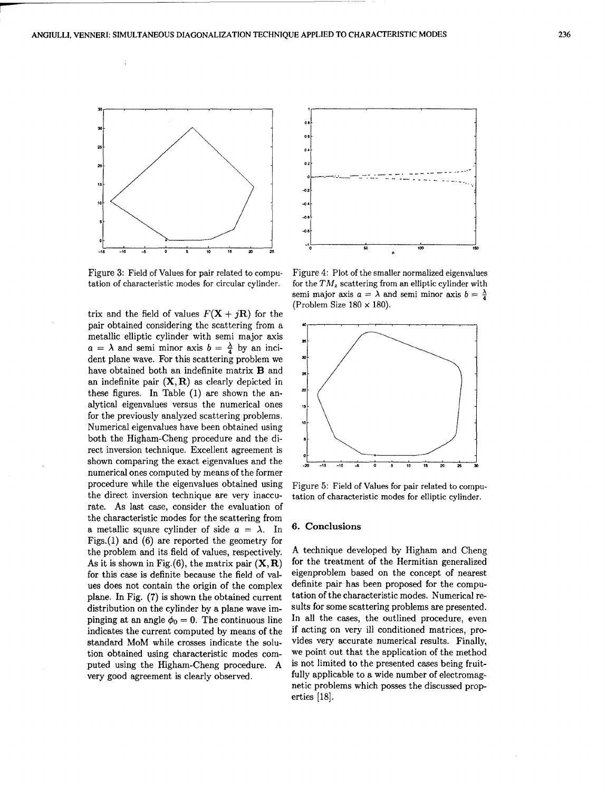

Figure 3: Field of Values for pair related to compu- Figure 4: Plot of the smaller normalized eigenvalues

trix and the field of values  $F(\mathbf{X} + i\mathbf{R})$  for the pair obtained considering the scattering from a metallic elliptic cylinder with semi major axis  $a = \lambda$  and semi minor axis  $b = \frac{\lambda}{4}$  by an incident plane wave. For this scattering problem we have obtained both an indefinite matrix B and an indefinite pair  $(X, R)$  as clearly depicted in these figures. In Table (1) are shown the analytical eigenvalues versus the numerical ones **<sup>15</sup>** for the previously analyzed scattering problems. Numerical eigenvalues have been obtained using both the Higham-Cheng procedure and the direct inversion technique. Excellent agreement is shown comparing the exact eigenvalues and the numerical ones computed by means of the former procedure while the eigenvalues obtained using Figure 5: Field of Values for pair related to computhe direct inversion technique are very inaccu- tation of characteristic modes for elliptic cylinder. rate. As last case, consider the evaluation of the characteristic modes for the scattering from a metallic square cylinder of side  $a = \lambda$ . In 6. Conclusions Figs.(1) and (6) are reported the geometry for the problem and its field of values, respectively. A technique developed by Higham and Cheng As it is shown in Fig.(6), the matrix pair  $(X, R)$  for the treatment of the Hermitian generalized for this case is definite because the field of val- eigenproblem based on the concept of nearest ues does not contain the origin of the complex definite pair has been proposed for the compuplane. In Fig. (7) is shown the obtained current tation of the characteristic modes. Numerical redistribution on the cylinder by a plane wave im- sults for some scattering problems are presented. pinging at an angle  $\phi_0 = 0$ . The continuous line In all the cases, the outlined procedure, even indicates the current computed by means of the if acting on very ill conditioned matrices, prostandard MoM while crosses indicate the solu- vides very accurate numerical results. Finally, tion obtained using characteristic modes com- we point out that the application of the method puted using the Higham-Cheng procedure. A is not limited to the presented cases being fruitvery good agreement is clearly observed, fully applicable to a wide number of electromag-



tation of characteristic modes for circular cylinder. for the  $TM_z$  scattering from an elliptic cylinder with semi major axis  $a = \lambda$  and semi minor axis  $b = \frac{\lambda}{4}$ (Problem Size 180 × **180).**



netic problems which posses the discussed properties [18].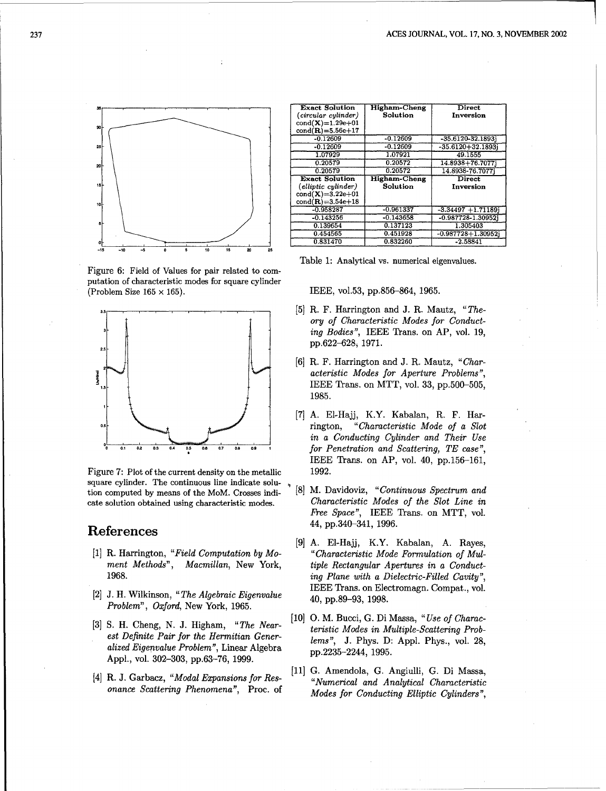

Figure 6: Field of Values for pair related to computation of characteristic modes for square cylinder (Problem Size 165  $\times$  165). IEEE, vol.53, pp.856-864, 1965.



Figure 7: Plot of the current density on the metallic 1992. square cylinder. The continuous line indicate solution computed by means of the MoM. Crosses indi-<br>  $[8]$  M. Davidoviz, "Continuous Spectrum and<br>
cate solution obtained using characteristic modes<br>
Characteristic Modes of the Slot Line in cate solution obtained using characteristic modes.

- 
- *Problem", Oxford,* New York, 1965.
- [3] S. H. Cheng, N. J. Higham, "The Nearalized Eigenvalue Problem", Linear Algebra  $p_1, 2235-2244, 1995$ . Appl., vol. 302-303, pp.63-76, 1999.
- 

| 35   | <b>Exact Solution</b>  | <b>Higham-Cheng</b> | <b>Direct</b>           |
|------|------------------------|---------------------|-------------------------|
|      | (circular cylinder)    | Solution            | Inversion               |
| 30 h | $cond(X)=1.29e+01$     |                     |                         |
|      | $cond(R) = 5.56e + 17$ |                     |                         |
|      | $-0.12609$             | $-0.12609$          | $-35.6120 - 32.1893$    |
| 25⊦  | $-0.12609$             | $-0.12609$          | $-35.6120 + 32.1893$    |
|      | 1.07929                | 1.07921             | 49.1555                 |
| 20 F | 0.20579                | 0.20572             | 14.8938+76.70771        |
|      | 0.20579                | 0.20572             | 14.8938-76.70771        |
|      |                        |                     |                         |
|      | <b>Exact Solution</b>  | <b>Higham-Cheng</b> | <b>Direct</b>           |
| 15 F | (elliptic cylinder)    | Solution            | Inversion               |
|      | $cond(X)=3.22e+01$     |                     |                         |
| tol- | $cond(R) = 3.54e + 18$ |                     |                         |
|      | $-0.958287$            | $-0.961337$         | $-3.34497 + 1.71189$    |
|      | $-0.143256$            | $-0.143658$         | $-0.987728 - 1.309521$  |
| -sŀ  | 0.139654               | 0.137123            | 1.305403                |
|      | 0.454565               | 0.451928            | $-0.987728 + 1.30952$ j |

Table 1: Analytical vs. numerical eigenvalues.

- [5] R. F. Harrington and J. R. Mautz, "The*ory of Characteristic Modes for Conducting Bodies",* IEEE Trans. on AP, vol. 19, **2.5** -pp.622-628, 1971.
- [6] R. F. Harrington and J. R. Mautz, "Char*acteristic Modes for* Aperture Problems", IEEE Trans. on MTT, vol. 33, pp.500-505, 1985.
- **[7] A. El-Hajj,** K.Y. Kabalan, R. F. Har-**0.5•** rington, *"Characteristic Mode of a Slot* , j in a Conducting Cylinder and Their *Use* **2 0.1 02 2.3** 04 **0 0.7 0..9 <sup>1</sup>**for Penetration and *Scattering, TE case",* IEEE Trans. on AP, vol. 40, pp.156-161,
- *Free Space",* IEEE Trans. on MTT, vol. References 44, pp.340-341, 1996.
- [9] A. El-Hajj, K.Y. Kabalan, A. Rayes, [1] R. Harrington, "Field Computation by *Mo- "Characteristic Mode Formulation of Mul*ment Methods", Macmillan, New York, tiple Rectangular Apertures in a Conduct-1968. ing Plane with a *Dielectric-Filled Cavity",* <sup>[2]</sup> J. H. Wilkinson, "*The Algebraic Eigenvalue* **IEEE Trans. on Electromagn. Compat., vol. 40, pp.89-93, 1998.** 
	- " *The Near-* [10] **0.** M. Bucci, G. Di Massa, *"Use of Charac est Definite Pair for the Hermitian Gener- teristic Modes in Multiple-Scattering Prob-*<br>est Definite Pair for the Hermitian Gener- lems", J. Phys. D: Appl. Phys., vol. 28,
- [4] R. J. Garbacz, *"Modal Expansions for Res-* [11] G. Amendola, G. Angiulli, G. Di Massa, *"Numerical and Analytical Characteristic onance Scattering Phenomena",* Proc. of *Modes for Conducting Elliptic Cylinders"*,